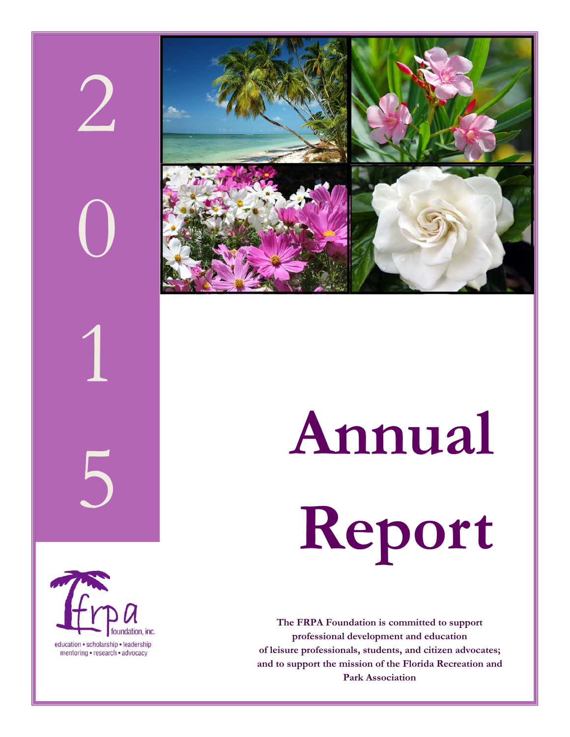# 2 0 1



# 5 **Annual**

**Report** 



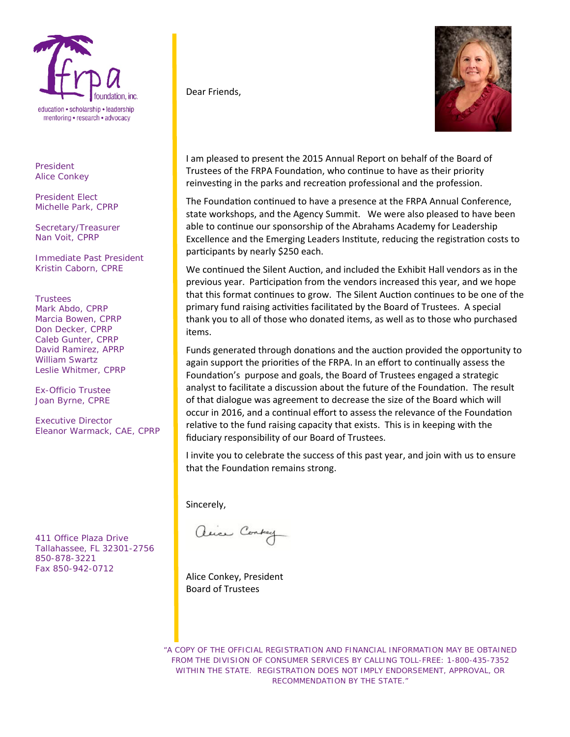

*President*  Alice Conkey

*President Elect*  Michelle Park, CPRP

*Secretary/Treasurer* Nan Voit, CPRP

*Immediate Past President*  Kristin Caborn, CPRE

*Trustees*  Mark Abdo, CPRP Marcia Bowen, CPRP Don Decker, CPRP Caleb Gunter, CPRP David Ramirez, APRP William Swartz Leslie Whitmer, CPRP

*Ex-Officio Trustee*  Joan Byrne, CPRE

*Executive Director*  Eleanor Warmack, CAE, CPRP

411 Office Plaza Drive Tallahassee, FL 32301-2756 850-878-3221 Fax 850-942-0712

Dear Friends,



I am pleased to present the 2015 Annual Report on behalf of the Board of Trustees of the FRPA Foundation, who continue to have as their priority reinvesting in the parks and recreation professional and the profession.

The Foundation continued to have a presence at the FRPA Annual Conference, state workshops, and the Agency Summit. We were also pleased to have been able to continue our sponsorship of the Abrahams Academy for Leadership Excellence and the Emerging Leaders Institute, reducing the registration costs to participants by nearly \$250 each.

We continued the Silent Auction, and included the Exhibit Hall vendors as in the previous year. Participation from the vendors increased this year, and we hope that this format continues to grow. The Silent Auction continues to be one of the primary fund raising activities facilitated by the Board of Trustees. A special thank you to all of those who donated items, as well as to those who purchased items.

Funds generated through donations and the auction provided the opportunity to again support the priorities of the FRPA. In an effort to continually assess the Foundation's purpose and goals, the Board of Trustees engaged a strategic analyst to facilitate a discussion about the future of the Foundation. The result of that dialogue was agreement to decrease the size of the Board which will occur in 2016, and a continual effort to assess the relevance of the Foundation relative to the fund raising capacity that exists. This is in keeping with the fiduciary responsibility of our Board of Trustees.

I invite you to celebrate the success of this past year, and join with us to ensure that the Foundation remains strong.

Sincerely,

alice Contray

Alice Conkey, President Board of Trustees

"A COPY OF THE OFFICIAL REGISTRATION AND FINANCIAL INFORMATION MAY BE OBTAINED FROM THE DIVISION OF CONSUMER SERVICES BY CALLING TOLL-FREE: 1-800-435-7352 WITHIN THE STATE. REGISTRATION DOES NOT IMPLY ENDORSEMENT, APPROVAL, OR RECOMMENDATION BY THE STATE."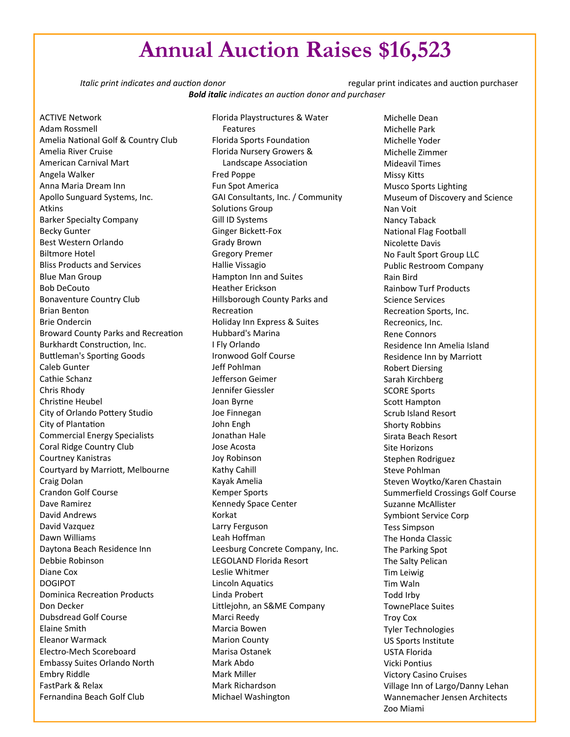# **Annual Auction Raises \$16,523**

*Italic print indicates* and *auction* donor *and donor* *and ndicates* and auction purchaser *Bold italic indicates an aucƟon donor and purchaser*

ACTIVE Network Adam Rossmell Amelia National Golf & Country Club Amelia River Cruise American Carnival Mart Angela Walker Anna Maria Dream Inn Apollo Sunguard Systems, Inc. Atkins Barker Specialty Company Becky Gunter Best Western Orlando Biltmore Hotel Bliss Products and Services Blue Man Group Bob DeCouto Bonaventure Country Club Brian Benton Brie Ondercin Broward County Parks and Recreation Burkhardt Construction, Inc. Buttleman's Sporting Goods Caleb Gunter Cathie Schanz Chris Rhody Christine Heubel City of Orlando Pottery Studio City of Plantation Commercial Energy Specialists Coral Ridge Country Club Courtney Kanistras Courtyard by MarrioƩ, Melbourne Craig Dolan Crandon Golf Course Dave Ramirez David Andrews David Vazquez Dawn Williams Daytona Beach Residence Inn Debbie Robinson Diane Cox DOGIPOT Dominica Recreation Products Don Decker Dubsdread Golf Course Elaine Smith Eleanor Warmack Electro‐Mech Scoreboard Embassy Suites Orlando North Embry Riddle FastPark & Relax Fernandina Beach Golf Club

Florida Playstructures & Water Features Florida Sports Foundation Florida Nursery Growers & Landscape Association Fred Poppe Fun Spot America GAI Consultants, Inc. / Community Solutions Group Gill ID Systems Ginger Bickett‐Fox Grady Brown Gregory Premer Hallie Vissagio Hampton Inn and Suites Heather Erickson Hillsborough County Parks and Recreation Holiday Inn Express & Suites Hubbard's Marina I Fly Orlando Ironwood Golf Course Jeff Pohlman Jefferson Geimer Jennifer Giessler Joan Byrne Joe Finnegan John Engh Jonathan Hale Jose Acosta Joy Robinson Kathy Cahill Kayak Amelia Kemper Sports Kennedy Space Center Korkat Larry Ferguson Leah Hoffman Leesburg Concrete Company, Inc. LEGOLAND Florida Resort Leslie Whitmer Lincoln Aquatics Linda Probert Littlejohn, an S&ME Company Marci Reedy Marcia Bowen Marion County Marisa Ostanek Mark Abdo Mark Miller Mark Richardson Michael Washington

Michelle Dean Michelle Park Michelle Yoder Michelle Zimmer Mideavil Times Missy Kitts Musco Sports Lighting Museum of Discovery and Science Nan Voit Nancy Taback National Flag Football Nicolette Davis No Fault Sport Group LLC Public Restroom Company Rain Bird Rainbow Turf Products Science Services Recreation Sports, Inc. Recreonics, Inc. Rene Connors Residence Inn Amelia Island Residence Inn by Marriott Robert Diersing Sarah Kirchberg SCORE Sports Scott Hampton Scrub Island Resort Shorty Robbins Sirata Beach Resort Site Horizons Stephen Rodriguez Steve Pohlman Steven Woytko/Karen Chastain Summerfield Crossings Golf Course Suzanne McAllister Symbiont Service Corp Tess Simpson The Honda Classic The Parking Spot The Salty Pelican Tim Leiwig Tim Waln Todd Irby TownePlace Suites Troy Cox Tyler Technologies US Sports Institute USTA Florida Vicki Pontius Victory Casino Cruises Village Inn of Largo/Danny Lehan Wannemacher Jensen Architects Zoo Miami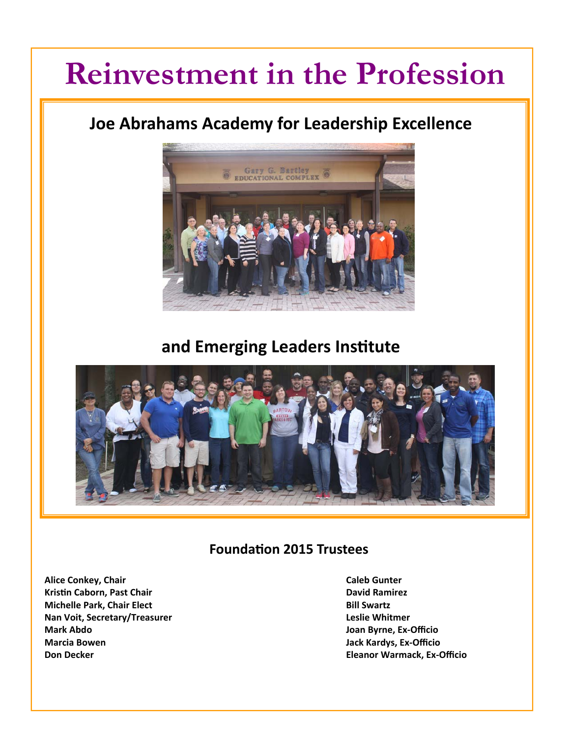# **Reinvestment in the Profession**

# **Joe Abrahams Academy for Leadership Excellence**



# **and Emerging Leaders InsƟtute**



# **FoundaƟon 2015 Trustees**

- **Alice Conkey, Chair Caleb Gunter KrisƟn Caborn, Past Chair David Ramirez Michelle Park, Chair Elect Bill Swartz Nan Voit, Secretary/Treasurer Leslie Whitmer Mark Abdo Joan Byrne, Ex‐Officio Marcia Bowen Jack Kardys, Ex‐Officio**
- **Don Decker Eleanor Warmack, Ex‐Officio**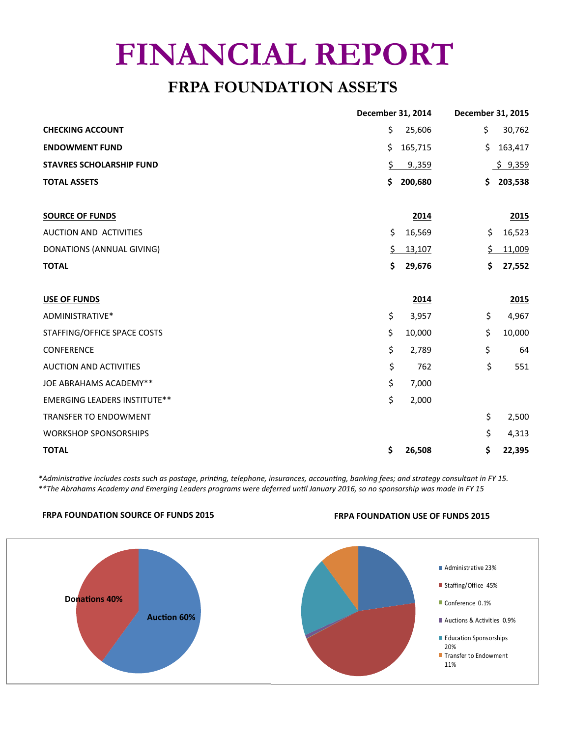# **FINANCIAL REPORT**

# **FRPA FOUNDATION ASSETS**

|                                     | December 31, 2014 |         | December 31, 2015 |         |
|-------------------------------------|-------------------|---------|-------------------|---------|
| <b>CHECKING ACCOUNT</b>             | \$                | 25,606  | \$                | 30,762  |
| <b>ENDOWMENT FUND</b>               | \$                | 165,715 | \$                | 163,417 |
| <b>STAVRES SCHOLARSHIP FUND</b>     | \$.               | 9,359   |                   | \$9,359 |
| <b>TOTAL ASSETS</b>                 | \$                | 200,680 | Ś.                | 203,538 |
|                                     |                   |         |                   |         |
| <b>SOURCE OF FUNDS</b>              |                   | 2014    |                   | 2015    |
| AUCTION AND ACTIVITIES              | \$                | 16,569  | \$                | 16,523  |
| <b>DONATIONS (ANNUAL GIVING)</b>    | \$.               | 13,107  | \$                | 11,009  |
| <b>TOTAL</b>                        | \$                | 29,676  | \$                | 27,552  |
|                                     |                   |         |                   |         |
| USE OF FUNDS                        |                   | 2014    |                   | 2015    |
| ADMINISTRATIVE*                     | \$                | 3,957   | \$                | 4,967   |
| STAFFING/OFFICE SPACE COSTS         | \$                | 10,000  | \$                | 10,000  |
| <b>CONFERENCE</b>                   | \$                | 2,789   | \$                | 64      |
| <b>AUCTION AND ACTIVITIES</b>       | \$                | 762     | \$                | 551     |
| JOE ABRAHAMS ACADEMY**              | \$                | 7,000   |                   |         |
| <b>EMERGING LEADERS INSTITUTE**</b> | \$                | 2,000   |                   |         |
| <b>TRANSFER TO ENDOWMENT</b>        |                   |         | \$                | 2,500   |
| <b>WORKSHOP SPONSORSHIPS</b>        |                   |         | \$                | 4,313   |
| <b>TOTAL</b>                        | \$                | 26,508  | \$                | 22,395  |

\*Administrative includes costs such as postage, printing, telephone, insurances, accounting, banking fees; and strategy consultant in FY 15. \*\* The Abrahams Academy and Emerging Leaders programs were deferred until January 2016, so no sponsorship was made in FY 15

## **FRPA FOUNDATION SOURCE OF FUNDS 2015 FRPA FOUNDATION USE OF FUNDS 2015**

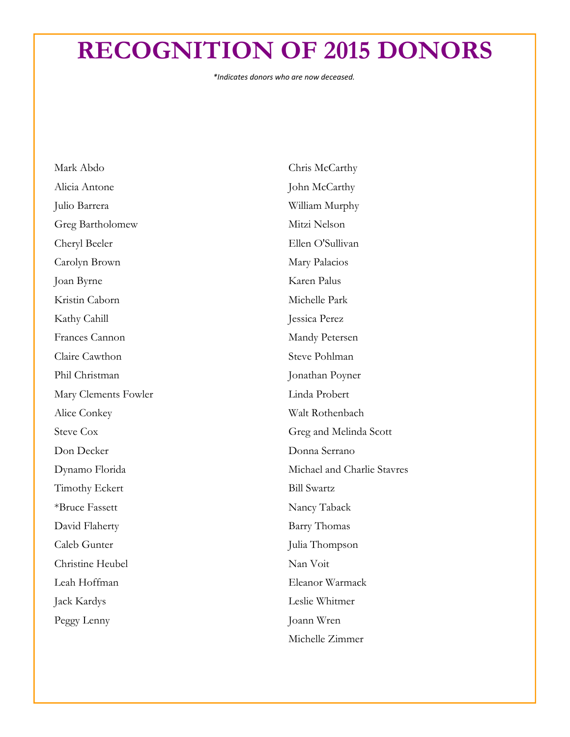# **RECOGNITION OF 2015 DONORS**

*\*Indicates donors who are now deceased.*

| Mark Abdo             | Chris McCarthy              |
|-----------------------|-----------------------------|
| Alicia Antone         | John McCarthy               |
| Julio Barrera         | William Murphy              |
| Greg Bartholomew      | Mitzi Nelson                |
| Cheryl Beeler         | Ellen O'Sullivan            |
| Carolyn Brown         | Mary Palacios               |
| Joan Byrne            | Karen Palus                 |
| Kristin Caborn        | Michelle Park               |
| Kathy Cahill          | Jessica Perez               |
| Frances Cannon        | Mandy Petersen              |
| Claire Cawthon        | Steve Pohlman               |
| Phil Christman        | Jonathan Poyner             |
| Mary Clements Fowler  | Linda Probert               |
| Alice Conkey          | Walt Rothenbach             |
| <b>Steve Cox</b>      | Greg and Melinda Scott      |
| Don Decker            | Donna Serrano               |
| Dynamo Florida        | Michael and Charlie Stavres |
| <b>Timothy Eckert</b> | <b>Bill Swartz</b>          |
| *Bruce Fassett        | Nancy Taback                |
| David Flaherty        | <b>Barry Thomas</b>         |
| Caleb Gunter          | Julia Thompson              |
| Christine Heubel      | Nan Voit                    |
| Leah Hoffman          | Eleanor Warmack             |
| Jack Kardys           | Leslie Whitmer              |
| Peggy Lenny           | Joann Wren                  |
|                       | Michelle Zimmer             |